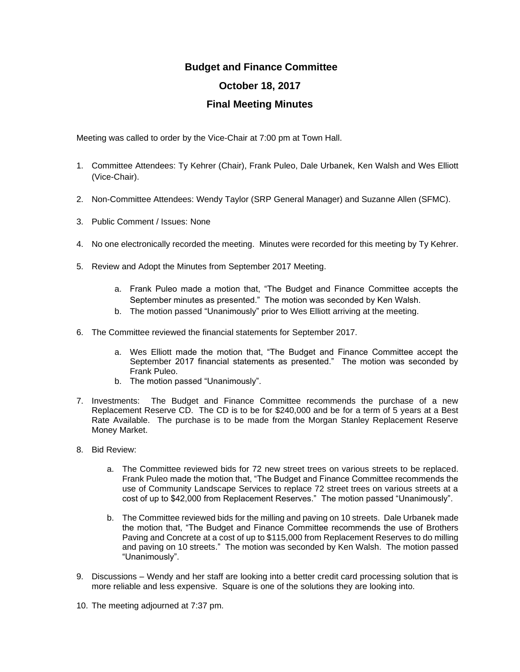## **Budget and Finance Committee October 18, 2017 Final Meeting Minutes**

Meeting was called to order by the Vice-Chair at 7:00 pm at Town Hall.

- 1. Committee Attendees: Ty Kehrer (Chair), Frank Puleo, Dale Urbanek, Ken Walsh and Wes Elliott (Vice-Chair).
- 2. Non-Committee Attendees: Wendy Taylor (SRP General Manager) and Suzanne Allen (SFMC).
- 3. Public Comment / Issues: None
- 4. No one electronically recorded the meeting. Minutes were recorded for this meeting by Ty Kehrer.
- 5. Review and Adopt the Minutes from September 2017 Meeting.
	- a. Frank Puleo made a motion that, "The Budget and Finance Committee accepts the September minutes as presented." The motion was seconded by Ken Walsh.
	- b. The motion passed "Unanimously" prior to Wes Elliott arriving at the meeting.
- 6. The Committee reviewed the financial statements for September 2017.
	- a. Wes Elliott made the motion that, "The Budget and Finance Committee accept the September 2017 financial statements as presented." The motion was seconded by Frank Puleo.
	- b. The motion passed "Unanimously".
- 7. Investments: The Budget and Finance Committee recommends the purchase of a new Replacement Reserve CD. The CD is to be for \$240,000 and be for a term of 5 years at a Best Rate Available. The purchase is to be made from the Morgan Stanley Replacement Reserve Money Market.
- 8. Bid Review:
	- a. The Committee reviewed bids for 72 new street trees on various streets to be replaced. Frank Puleo made the motion that, "The Budget and Finance Committee recommends the use of Community Landscape Services to replace 72 street trees on various streets at a cost of up to \$42,000 from Replacement Reserves." The motion passed "Unanimously".
	- b. The Committee reviewed bids for the milling and paving on 10 streets. Dale Urbanek made the motion that, "The Budget and Finance Committee recommends the use of Brothers Paving and Concrete at a cost of up to \$115,000 from Replacement Reserves to do milling and paving on 10 streets." The motion was seconded by Ken Walsh. The motion passed "Unanimously".
- 9. Discussions Wendy and her staff are looking into a better credit card processing solution that is more reliable and less expensive. Square is one of the solutions they are looking into.
- 10. The meeting adjourned at 7:37 pm.